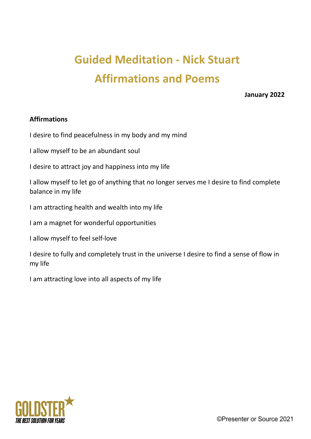# **Guided Meditation - Nick Stuart Affirmations and Poems**

**January 2022**

## **Affirmations**

I desire to find peacefulness in my body and my mind

I allow myself to be an abundant soul

I desire to attract joy and happiness into my life

I allow myself to let go of anything that no longer serves me I desire to find complete balance in my life

I am attracting health and wealth into my life

I am a magnet for wonderful opportunities

I allow myself to feel self-love

I desire to fully and completely trust in the universe I desire to find a sense of flow in my life

I am attracting love into all aspects of my life

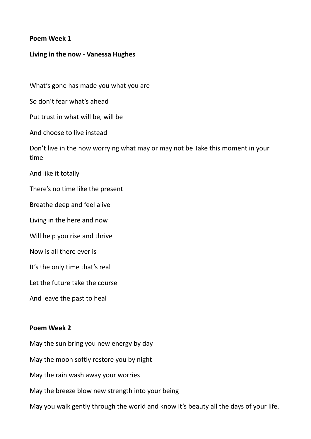### **Poem Week 1**

### **Living in the now - Vanessa Hughes**

What's gone has made you what you are

So don't fear what's ahead

Put trust in what will be, will be

And choose to live instead

Don't live in the now worrying what may or may not be Take this moment in your time

And like it totally

There's no time like the present

Breathe deep and feel alive

Living in the here and now

Will help you rise and thrive

Now is all there ever is

It's the only time that's real

Let the future take the course

And leave the past to heal

#### **Poem Week 2**

May the sun bring you new energy by day

May the moon softly restore you by night

May the rain wash away your worries

May the breeze blow new strength into your being

May you walk gently through the world and know it's beauty all the days of your life.